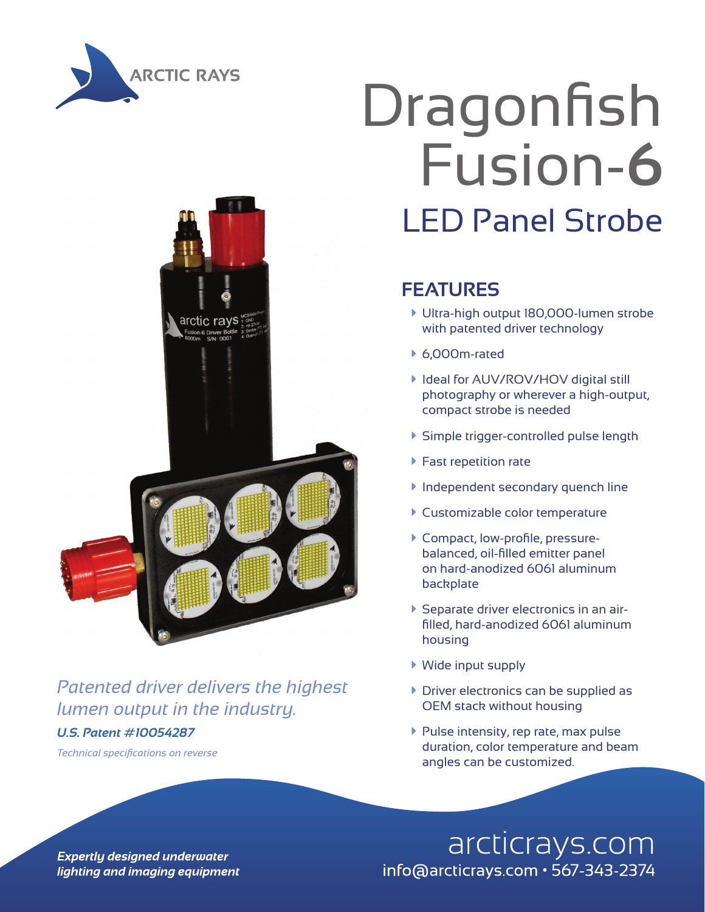



#### *Patented driver delivers the highest lumen output in the industry.*

#### *U.S. Patent #10054287*

# Dragonfish Fusion-**6** LED Panel Strobe

#### **FEATURES**

- à Ultra-high output 180,000-lumen strobe with patented driver technology
- $6,000$ m-rated
- ▶ Ideal for AUV/ROV/HOV digital still photography or wherever a high-output, compact strobe is needed
- à Simple trigger-controlled pulse length
- $\blacktriangleright$  Fast repetition rate
- **Independent secondary quench line**
- **Customizable color temperature**
- à Compact, low-profile, pressurebalanced, oil-filled emitter panel on hard-anodized 6061 aluminum backplate
- à Separate driver electronics in an airfilled, hard-anodized 6061 aluminum housing
- $\blacktriangleright$  Wide input supply
- $\triangleright$  Driver electronics can be supplied as OEM stack without housing
- $\blacktriangleright$  Pulse intensity, rep rate, max pulse duration, color temperature and beam angles can be customized. *Technical specifications on reverse*

arcticrays.com info@arcticrays.com · 567-343-2374

**Expertly designed underwater** lighting and imaging equipment